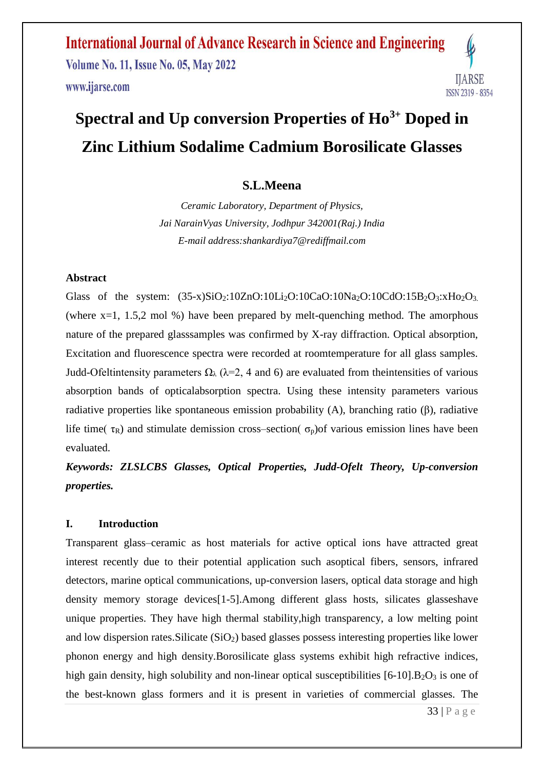**International Journal of Advance Research in Science and Engineering Volume No. 11, Issue No. 05, May 2022** www.ijarse.com



### **Spectral and Up conversion Properties of Ho3+ Doped in Zinc Lithium Sodalime Cadmium Borosilicate Glasses**

#### **S.L.Meena**

*Ceramic Laboratory, Department of Physics, Jai NarainVyas University, Jodhpur 342001(Raj.) India E-mail address:shankardiya7@rediffmail.com*

#### **Abstract**

Glass of the system:  $(35-x)SiO_2:10ZnO:10Li_2O:10CaO:10Na_2O:10CdO:15B_2O_3:xHo_2O_3$ . (where  $x=1$ , 1.5,2 mol %) have been prepared by melt-quenching method. The amorphous nature of the prepared glasssamples was confirmed by X-ray diffraction. Optical absorption, Excitation and fluorescence spectra were recorded at roomtemperature for all glass samples. Judd-Ofeltintensity parameters  $\Omega_{\lambda}$  ( $\lambda$ =2, 4 and 6) are evaluated from the intensities of various absorption bands of opticalabsorption spectra. Using these intensity parameters various radiative properties like spontaneous emission probability (A), branching ratio (β), radiative life time( $\tau_R$ ) and stimulate demission cross–section( $\sigma_p$ ) of various emission lines have been evaluated.

*Keywords: ZLSLCBS Glasses, Optical Properties, Judd-Ofelt Theory, Up-conversion properties.*

#### **I. Introduction**

Transparent glass–ceramic as host materials for active optical ions have attracted great interest recently due to their potential application such asoptical fibers, sensors, infrared detectors, marine optical communications, up-conversion lasers, optical data storage and high density memory storage devices[1-5].Among different glass hosts, silicates glasseshave unique properties. They have high thermal stability,high transparency, a low melting point and low dispersion rates. Silicate  $(SiO<sub>2</sub>)$  based glasses possess interesting properties like lower phonon energy and high density.Borosilicate glass systems exhibit high refractive indices, high gain density, high solubility and non-linear optical susceptibilities  $[6-10]$ .B<sub>2</sub>O<sub>3</sub> is one of the best-known glass formers and it is present in varieties of commercial glasses. The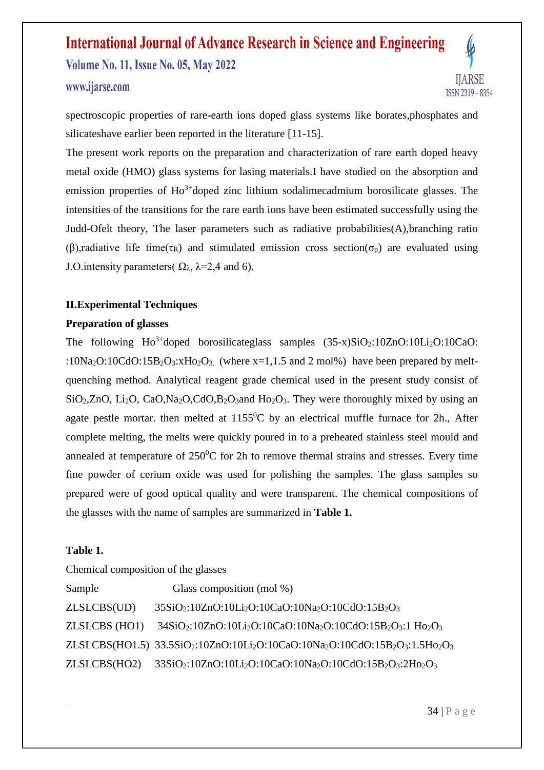### **International Journal of Advance Research in Science and Engineering Volume No. 11, Issue No. 05, May 2022**



**IJARSE ISSN 2319 - 8354** 

spectroscopic properties of rare-earth ions doped glass systems like borates,phosphates and silicateshave earlier been reported in the literature [11-15].

The present work reports on the preparation and characterization of rare earth doped heavy metal oxide (HMO) glass systems for lasing materials.I have studied on the absorption and emission properties of  $Ho^{3+}$ doped zinc lithium sodalimecadmium borosilicate glasses. The intensities of the transitions for the rare earth ions have been estimated successfully using the Judd-Ofelt theory, The laser parameters such as radiative probabilities(A),branching ratio (β), radiative life time( $\tau_R$ ) and stimulated emission cross section( $\sigma_p$ ) are evaluated using J.O. intensity parameters( $\Omega_{\lambda}$ ,  $\lambda$ =2,4 and 6).

#### **II.Experimental Techniques**

#### **Preparation of glasses**

The following  $Ho^{3+}$ doped borosilicateglass samples  $(35-x)SiO_2:10ZnO:10Li_2O:10CaO:$ :10Na<sub>2</sub>O:10CdO:15B<sub>2</sub>O<sub>3</sub>:xH<sub>O2</sub>O<sub>3</sub>. (where x=1,1.5 and 2 mol%) have been prepared by meltquenching method. Analytical reagent grade chemical used in the present study consist of  $SiO<sub>2</sub>, ZnO, Li<sub>2</sub>O, CaO, Na<sub>2</sub>O, CdO, B<sub>2</sub>O<sub>3</sub> and Ho<sub>2</sub>O<sub>3</sub>.$  They were thoroughly mixed by using an agate pestle mortar, then melted at  $1155^{\circ}$ C by an electrical muffle furnace for 2h., After complete melting, the melts were quickly poured in to a preheated stainless steel mould and annealed at temperature of  $250^0C$  for 2h to remove thermal strains and stresses. Every time fine powder of cerium oxide was used for polishing the samples. The glass samples so prepared were of good optical quality and were transparent. The chemical compositions of the glasses with the name of samples are summarized in **Table 1.**

#### **Table 1.**

| Chemical composition of the glasses |                                                                                                                                                                     |  |  |  |  |  |  |  |  |  |
|-------------------------------------|---------------------------------------------------------------------------------------------------------------------------------------------------------------------|--|--|--|--|--|--|--|--|--|
| Sample                              | Glass composition (mol %)                                                                                                                                           |  |  |  |  |  |  |  |  |  |
| ZLSLCBS(UD)                         | $35SiO_2:10ZnO:10Li_2O:10CaO:10Na_2O:10CdO:15B_2O_3$                                                                                                                |  |  |  |  |  |  |  |  |  |
| ZLSLCBS (HO1)                       | $34SiO2:10ZnO:10Li2O:10CaO:10Na2O:10CdO:15B2O3:1 Ho2O3$                                                                                                             |  |  |  |  |  |  |  |  |  |
|                                     | $ZLSLCBS(HO1.5)$ 33.5SiO <sub>2</sub> :10ZnO:10Li <sub>2</sub> O:10CaO:10Na <sub>2</sub> O:10CdO:15B <sub>2</sub> O <sub>3</sub> :1.5H <sub>O2</sub> O <sub>3</sub> |  |  |  |  |  |  |  |  |  |
| ZLSLCBS(HO2)                        | 33SiO <sub>2</sub> :10ZnO:10Li <sub>2</sub> O:10CaO:10Na <sub>2</sub> O:10CdO:15B <sub>2</sub> O <sub>3</sub> :2H <sub>O2</sub> O <sub>3</sub>                      |  |  |  |  |  |  |  |  |  |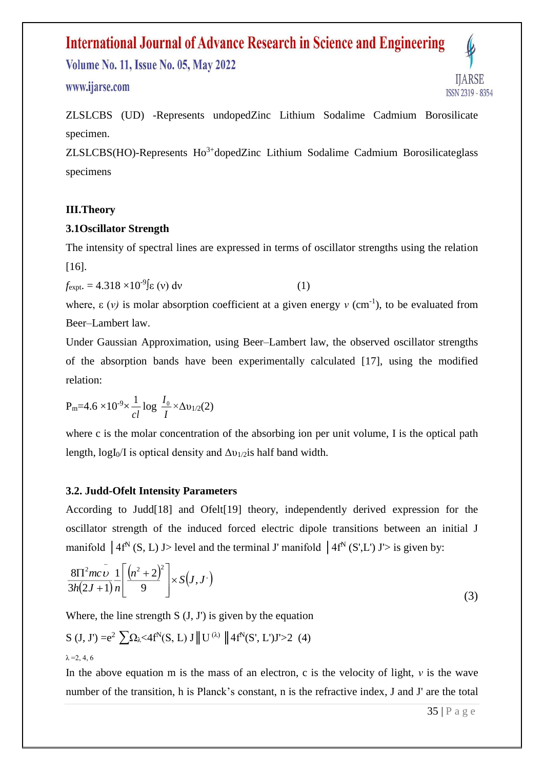**Volume No. 11, Issue No. 05, May 2022** 

#### www.ijarse.com

**HARSE ISSN 2319 - 8354** 

ZLSLCBS (UD) -Represents undopedZinc Lithium Sodalime Cadmium Borosilicate specimen.

 $ZLSLCBS(HO)$ -Represents  $Ho^{3+}$ dopedZinc Lithium Sodalime Cadmium Borosilicateglass specimens

#### **III.Theory**

#### **3.1Oscillator Strength**

The intensity of spectral lines are expressed in terms of oscillator strengths using the relation [16].

$$
f_{\text{expt.}} = 4.318 \times 10^{-9} \text{g (v) dv}
$$
 (1)

where,  $\varepsilon$  (*v*) is molar absorption coefficient at a given energy *v* (cm<sup>-1</sup>), to be evaluated from Beer–Lambert law.

Under Gaussian Approximation, using Beer–Lambert law, the observed oscillator strengths of the absorption bands have been experimentally calculated [17], using the modified relation:

$$
P_{m}=4.6\times10^{-9}\times\frac{1}{cl}\log\frac{I_{0}}{I}\times\Delta v_{1/2}(2)
$$

where c is the molar concentration of the absorbing ion per unit volume, I is the optical path length,  $logI_0/I$  is optical density and  $\Delta v_{1/2}$  is half band width.

#### **3.2. Judd-Ofelt Intensity Parameters**

According to Judd[18] and Ofelt[19] theory, independently derived expression for the oscillator strength of the induced forced electric dipole transitions between an initial J manifold  $\int 4f^N(S, L) J$  level and the terminal J' manifold  $\int 4f^N(S', L') J'$  is given by:

$$
\frac{8\Pi^{2}mc\,\nu}{3h(2J+1)}\frac{1}{n}\left[\frac{(n^{2}+2)^{2}}{9}\right] \times S(J,J')
$$
\n(3)

Where, the line strength  $S$  (J, J') is given by the equation

$$
S (J, J') = e^2 \sum \Omega_{\lambda} < 4f^N(S, L) J ||U^{(\lambda)} || 4f^N(S', L')J' > 2 (4)
$$
  
 $\lambda = 2, 4, 6$ 

In the above equation m is the mass of an electron, c is the velocity of light, *ν* is the wave number of the transition, h is Planck's constant, n is the refractive index, J and J' are the total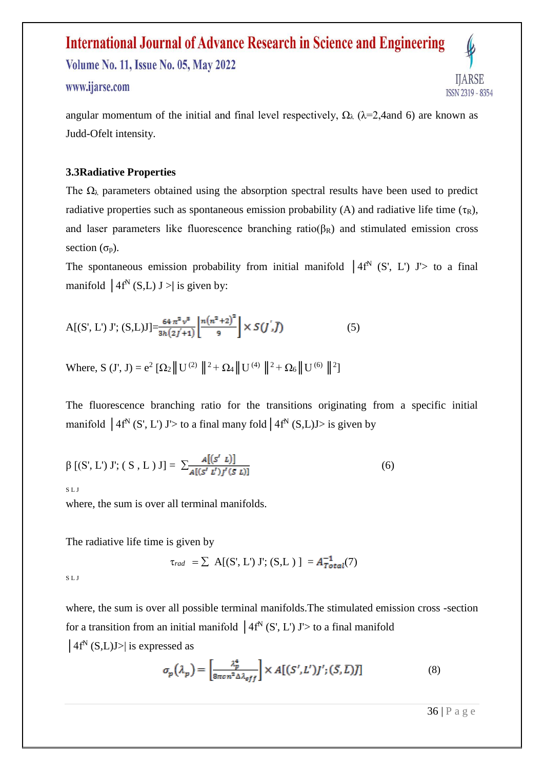**Volume No. 11, Issue No. 05, May 2022** 

#### www.ijarse.com

**HARSE ISSN 2319 - 8354** 

angular momentum of the initial and final level respectively,  $\Omega_{\lambda}$  ( $\lambda$ =2,4and 6) are known as Judd-Ofelt intensity.

#### **3.3Radiative Properties**

The  $\Omega_{\lambda}$  parameters obtained using the absorption spectral results have been used to predict radiative properties such as spontaneous emission probability (A) and radiative life time  $(\tau_R)$ , and laser parameters like fluorescence branching ratio( $\beta_R$ ) and stimulated emission cross section  $(\sigma_p)$ .

The spontaneous emission probability from initial manifold  $(4f^N)(S', L')$  J'> to a final manifold  $|4f^N(S,L) J \rangle$  is given by:

$$
A[(S', L') J'; (S, L)J] = \frac{64 \pi^2 v^8}{3h(2j+1)} \left[ \frac{n(n^2+2)^2}{9} \right] \times S(j', \bar{J})
$$
 (5)

Where, S (J', J) =  $e^2 [\Omega_2 || U^{(2)} ||^2 + \Omega_4 || U^{(4)} ||^2 + \Omega_6 || U^{(6)} ||^2]$ 

The fluorescence branching ratio for the transitions originating from a specific initial manifold  $\int 4f^N(S', L') J' >$  to a final many fold  $\int 4f^N(S, L) J >$  is given by

$$
\beta [(S', L') J'; (S, L) J] = \sum_{A[(S' L')]'} \frac{A[(S' L)]}{A[(S' L')J'(S L)]}
$$
(6)

S L J

where, the sum is over all terminal manifolds.

The radiative life time is given by

 $\tau_{rad} = \sum A[(S', L') J'; (S, L)] = A_{Total}^{-1}(7)$ 

S L J

where, the sum is over all possible terminal manifolds.The stimulated emission cross -section for a transition from an initial manifold  $\int 4f^N(S, L') J' >$  to a final manifold  $\left| 4f^N(S,L)J \right|$  is expressed as

$$
\sigma_p(\lambda_p) = \left[\frac{\lambda_p^4}{8\pi c n^2 \Delta \lambda_{eff}}\right] \times A[(S', L')J'; (\bar{S}, \bar{L})\bar{J}]
$$
\n(8)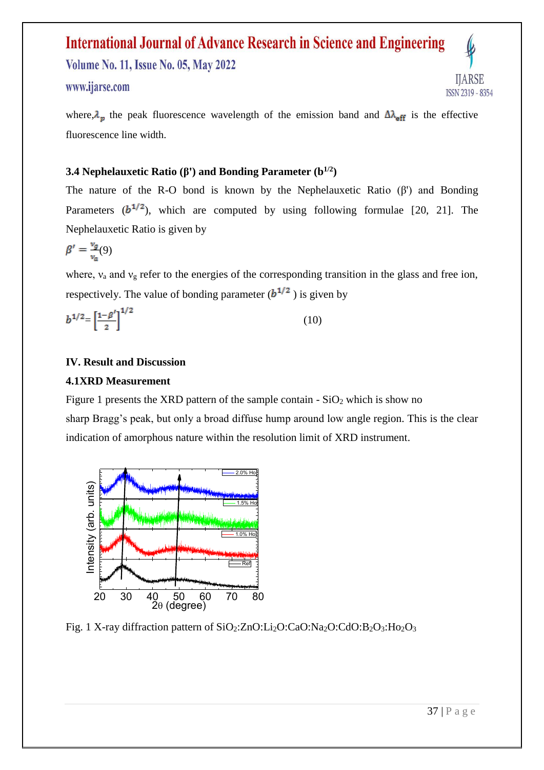**Volume No. 11, Issue No. 05, May 2022** 

#### www.ijarse.com

**IJARSE** ISSN 2319 - 8354

where,  $\lambda_n$  the peak fluorescence wavelength of the emission band and  $\Delta \lambda_{\text{eff}}$  is the effective fluorescence line width.

#### **3.4 Nephelauxetic Ratio (β') and Bonding Parameter (b1/2)**

The nature of the R-O bond is known by the Nephelauxetic Ratio  $(\beta')$  and Bonding Parameters  $(b^{1/2})$ , which are computed by using following formulae [20, 21]. The Nephelauxetic Ratio is given by

$$
\beta' = \frac{v_g}{v_a}(9)
$$

where,  $v_a$  and  $v_g$  refer to the energies of the corresponding transition in the glass and free ion, respectively. The value of bonding parameter  $(b^{1/2})$  is given by

$$
b^{1/2} = \left[\frac{1-\beta'}{2}\right]^{1/2} \tag{10}
$$

#### **IV. Result and Discussion**

#### **4.1XRD Measurement**

Figure 1 presents the XRD pattern of the sample contain  $-SiO<sub>2</sub>$  which is show no sharp Bragg's peak, but only a broad diffuse hump around low angle region. This is the clear indication of amorphous nature within the resolution limit of XRD instrument.

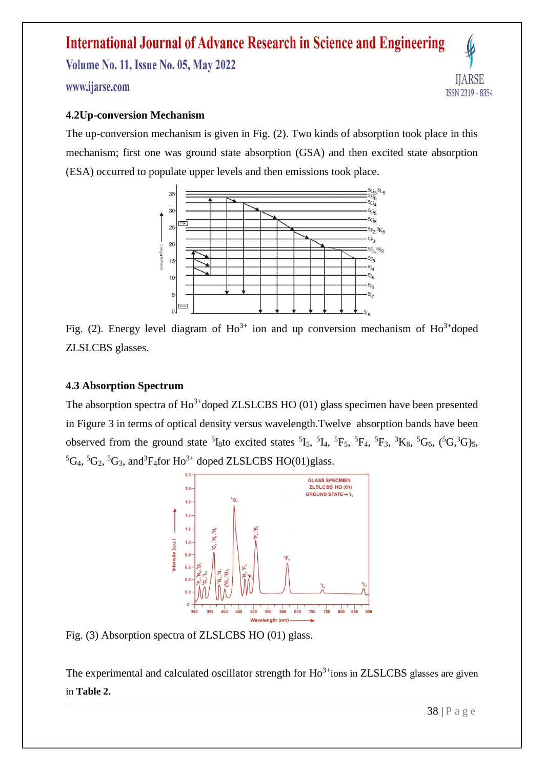### **International Journal of Advance Research in Science and Engineering Volume No. 11, Issue No. 05, May 2022**

#### www.ijarse.com

#### **4.2Up-conversion Mechanism**

The up-conversion mechanism is given in Fig. (2). Two kinds of absorption took place in this mechanism; first one was ground state absorption (GSA) and then excited state absorption (ESA) occurred to populate upper levels and then emissions took place.



Fig. (2). Energy level diagram of  $Ho^{3+}$  ion and up conversion mechanism of  $Ho^{3+}$ doped ZLSLCBS glasses.

#### **4.3 Absorption Spectrum**

The absorption spectra of  $Ho^{3+}$ doped ZLSLCBS HO (01) glass specimen have been presented in Figure 3 in terms of optical density versus wavelength.Twelve absorption bands have been observed from the ground state  ${}^{5}I_{8}$ to excited states  ${}^{5}I_{5}$ ,  ${}^{5}I_{4}$ ,  ${}^{5}F_{5}$ ,  ${}^{5}F_{4}$ ,  ${}^{5}F_{3}$ ,  ${}^{3}K_{8}$ ,  ${}^{5}G_{6}$ ,  $({}^{5}G,{}^{3}G)_{5}$ ,  ${}^5\text{G}_4$ ,  ${}^5\text{G}_2$ ,  ${}^5\text{G}_3$ , and  ${}^3\text{F}_4$  for Ho<sup>3+</sup> doped ZLSLCBS HO(01)glass.



Fig. (3) Absorption spectra of ZLSLCBS HO (01) glass.

The experimental and calculated oscillator strength for  $Ho^{3+}$ ions in ZLSLCBS glasses are given in **Table 2.**

**IJARSE** 

ISSN 2319 - 8354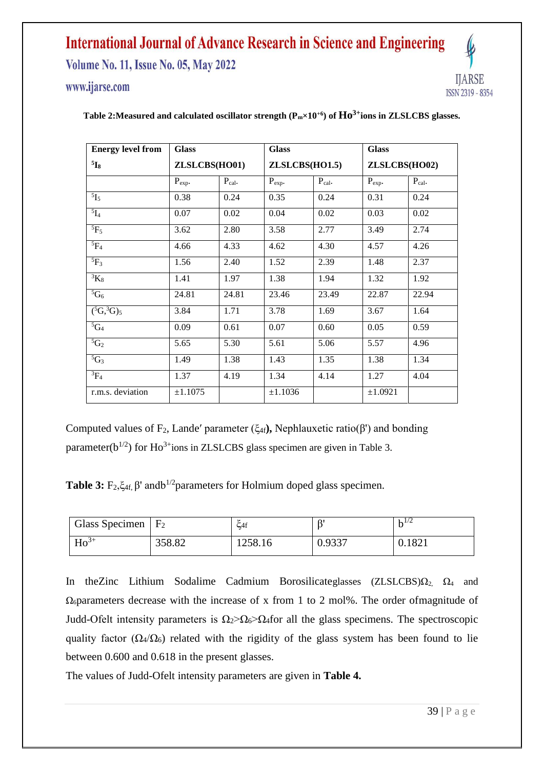**Volume No. 11, Issue No. 05, May 2022** 

www.ijarse.com



| <b>Energy level from</b> | <b>Glass</b>  |             | <b>Glass</b>   |             | <b>Glass</b>  |             |  |  |
|--------------------------|---------------|-------------|----------------|-------------|---------------|-------------|--|--|
| $5\mathbf{I}_8$          | ZLSLCBS(HO01) |             | ZLSLCBS(HO1.5) |             | ZLSLCBS(HO02) |             |  |  |
|                          | $P_{exp}$ .   | $P_{cal}$ . | $P_{exp}.$     | $P_{cal}$ . | $P_{exp}.$    | $P_{cal}$ . |  |  |
| $^{5}I_{5}$              | 0.38          | 0.24        | 0.35           | 0.24        | 0.31          | 0.24        |  |  |
| $5\overline{I_4}$        | 0.07          | 0.02        | 0.04           | 0.02        | 0.03          | 0.02        |  |  |
| ${}^{5}F_5$              | 3.62          | 2.80        | 3.58           | 2.77        | 3.49          | 2.74        |  |  |
| $5F_4$                   | 4.66          | 4.33        | 4.62           | 4.30        | 4.57          | 4.26        |  |  |
| ${}^{5}F_3$              | 1.56          | 2.40        | 1.52           | 2.39        | 1.48          | 2.37        |  |  |
| ${}^3K_8$                | 1.41          | 1.97        | 1.38           | 1.94        | 1.32          | 1.92        |  |  |
| ${}^5G_6$                | 24.81         | 24.81       | 23.46          | 23.49       | 22.87         | 22.94       |  |  |
| $(^{5}G, ^{3}G)_{5}$     | 3.84          | 1.71        | 3.78           | 1.69        | 3.67          | 1.64        |  |  |
| $5G_4$                   | 0.09          | 0.61        | 0.07           | 0.60        | 0.05          | 0.59        |  |  |
| ${}^5C_2$                | 5.65          | 5.30        | 5.61           | 5.06        | 5.57          | 4.96        |  |  |
| ${}^5G_3$                | 1.49          | 1.38        | 1.43           | 1.35        | 1.38          | 1.34        |  |  |
| ${}^{3}F_4$              | 1.37          | 4.19        | 1.34           | 4.14        | 1.27          | 4.04        |  |  |
| r.m.s. deviation         | ±1.1075       |             | ±1.1036        |             | ±1.0921       |             |  |  |

#### **Table 2:Measured and calculated oscillator strength (Pm×10+6) of Ho3+ions in ZLSLCBS glasses.**

Computed values of F<sub>2</sub>, Lande' parameter (ξ<sub>4f</sub>), Nephlauxetic ratio(β') and bonding parameter( $b^{1/2}$ ) for Ho<sup>3+</sup>ions in ZLSLCBS glass specimen are given in Table 3.

**Table 3:**  $F_2, \xi_{4f}$ ,  $\beta'$  and  $b^{1/2}$  parameters for Holmium doped glass specimen.

| Glass Specimen $F_2$ |        | $\zeta$ 4f | Q      | 1/2    |
|----------------------|--------|------------|--------|--------|
| $Ho^{3+}$            | 358.82 | 1258.16    | 0.9337 | 0.1821 |

In the Zinc Lithium Sodalime Cadmium Borosilicateglasses (ZLSLCBS) $\Omega_2$ ,  $\Omega_4$  and  $\Omega_6$  parameters decrease with the increase of x from 1 to 2 mol%. The order of magnitude of Judd-Ofelt intensity parameters is  $\Omega_2 > \Omega_6 > \Omega_4$  for all the glass specimens. The spectroscopic quality factor ( $\Omega_4/\Omega_6$ ) related with the rigidity of the glass system has been found to lie between 0.600 and 0.618 in the present glasses.

The values of Judd-Ofelt intensity parameters are given in **Table 4.**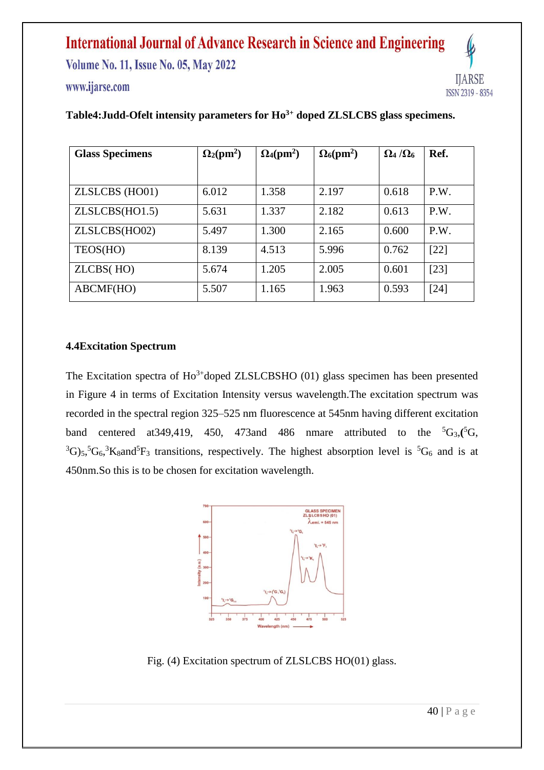**Volume No. 11, Issue No. 05, May 2022** 

#### www.ijarse.com



| <b>Glass Specimens</b> | $\Omega_2$ (pm <sup>2</sup> ) | $\Omega_4$ (pm <sup>2</sup> ) | $\Omega_6$ (pm <sup>2</sup> ) | $\Omega_4/\Omega_6$ | Ref.   |  |
|------------------------|-------------------------------|-------------------------------|-------------------------------|---------------------|--------|--|
|                        |                               |                               |                               |                     |        |  |
| ZLSLCBS (HO01)         | 6.012                         | 1.358                         | 2.197                         | 0.618               | P.W.   |  |
| ZLSLCBS(HO1.5)         | 5.631                         | 1.337                         | 2.182                         | 0.613               | P.W.   |  |
| ZLSLCBS(HO02)          | 5.497                         | 1.300                         | 2.165                         | 0.600               | P.W.   |  |
| TEOS(HO)               | 8.139                         | 4.513                         | 5.996                         | 0.762               | $[22]$ |  |
| ZLCBS(HO)              | 5.674                         | 1.205                         | 2.005                         | 0.601               | $[23]$ |  |
| ABCMF(HO)              | 5.507                         | 1.165                         | 1.963                         | 0.593               | $[24]$ |  |

#### **Table4:Judd-Ofelt intensity parameters for Ho3+ doped ZLSLCBS glass specimens.**

#### **4.4Excitation Spectrum**

The Excitation spectra of  $Ho^{3+}$ doped ZLSLCBSHO (01) glass specimen has been presented in Figure 4 in terms of Excitation Intensity versus wavelength.The excitation spectrum was recorded in the spectral region 325–525 nm fluorescence at 545nm having different excitation band centered at 349,419, 450, 473 and 486 nmare attributed to the  ${}^5G_3$ ,  ${}^5G_3$ ,  ${}^{3}G_{5}$ ,  ${}^{5}G_{6}$ ,  ${}^{3}K_{8}$  and  ${}^{5}F_{3}$  transitions, respectively. The highest absorption level is  ${}^{5}G_{6}$  and is at 450nm.So this is to be chosen for excitation wavelength.



Fig. (4) Excitation spectrum of ZLSLCBS HO(01) glass.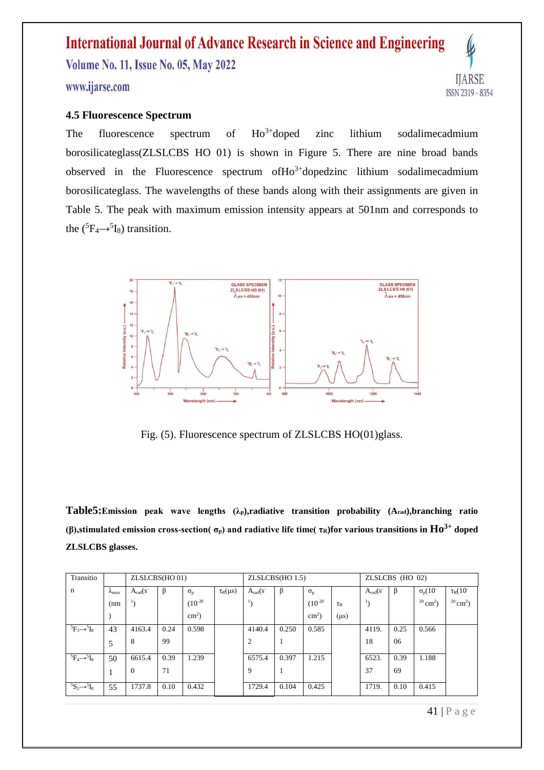### **International Journal of Advance Research in Science and Engineering Volume No. 11, Issue No. 05, May 2022**

#### www.ijarse.com

#### **4.5 Fluorescence Spectrum**

The fluorescence spectrum of  $Ho^{3+}$ doped zinc lithium sodalimecadmium borosilicateglass(ZLSLCBS HO 01) is shown in Figure 5. There are nine broad bands observed in the Fluorescence spectrum of  $Ho^{3+}$ dopedzinc lithium sodalimecadmium borosilicateglass. The wavelengths of these bands along with their assignments are given in Table 5. The peak with maximum emission intensity appears at 501nm and corresponds to the  $(^5\text{F}_4 \rightarrow ^5\text{I}_8)$  transition.



Fig. (5). Fluorescence spectrum of ZLSLCBS HO(01)glass.

**Table5:Emission peak wave lengths (λp),radiative transition probability (Arad),branching ratio (β),stimulated emission cross-section( σp) and radiative life time( τR)for various transitions in Ho3+ doped ZLSLCBS glasses.**

| Transitio                     |                        | ZLSLCBS(HO 01)         |      |                  |                 |                  | ZLSLCBS(HO 1.5) |                  |                           |                        | ZLSLCBS (HO 02) |                           |                           |  |
|-------------------------------|------------------------|------------------------|------|------------------|-----------------|------------------|-----------------|------------------|---------------------------|------------------------|-----------------|---------------------------|---------------------------|--|
| $\mathbf n$                   | $\lambda_{\text{max}}$ | $A_{rad}(s^{-})$       | β    | $\sigma_{\rm p}$ | $\tau_R(\mu s)$ | $A_{rad}(s^{-})$ | B               | $\sigma_{\rm p}$ |                           | $A_{rad}(s^{-})$       | β               | $\sigma_{p}(10^{-1})$     | $\tau_R(10^{-1})$         |  |
|                               | (nm)                   | $\mathbf{1}_{\lambda}$ |      | $(10^{-20}$      |                 |                  |                 | $(10^{-20}$      | $\tau_{\textrm{\tiny R}}$ | $\mathbf{1}_{\lambda}$ |                 | $^{20}$ cm <sup>2</sup> ) | $^{20}$ cm <sup>2</sup> ) |  |
|                               |                        |                        |      | $\text{cm}^2$ )  |                 |                  |                 | $\text{cm}^2$ )  | $(\mu s)$                 |                        |                 |                           |                           |  |
| ${}^5F_3 \rightarrow {}^5I_8$ | 43                     | 4163.4                 | 0.24 | 0.598            |                 | 4140.4           | 0.250           | 0.585            |                           | 4119.                  | 0.25            | 0.566                     |                           |  |
|                               | 5                      | 8                      | 99   |                  |                 | $\overline{2}$   |                 |                  |                           | 18                     | 06              |                           |                           |  |
| ${}^5F_4 \rightarrow {}^5I_8$ | 50                     | 6615.4                 | 0.39 | 1.239            |                 | 6575.4           | 0.397           | 1.215            |                           | 6523.                  | 0.39            | 1.188                     |                           |  |
|                               | 1                      | $\mathbf{0}$           | 71   |                  |                 | 9                |                 |                  |                           | 37                     | 69              |                           |                           |  |
| ${}^5S_2 \rightarrow {}^5I_8$ | 55                     | 1737.8                 | 0.10 | 0.432            |                 | 1729.4           | 0.104           | 0.425            |                           | 1719.                  | 0.10            | 0.415                     |                           |  |

**IJARSE** 

ISSN 2319 - 8354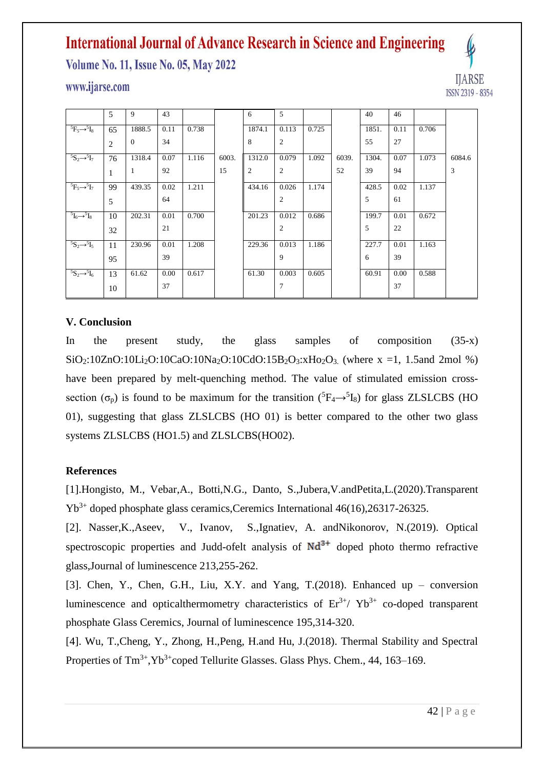**Volume No. 11, Issue No. 05, May 2022** 

#### www.ijarse.com

| <b>IJARSE</b>                       |
|-------------------------------------|
| 835.<br>IJ.<br>$\lfloor 23 \rfloor$ |

|                                       | 5              | 9              | 43   |       |       | 6              | 5              |       |       | 40    | 46   |       |        |
|---------------------------------------|----------------|----------------|------|-------|-------|----------------|----------------|-------|-------|-------|------|-------|--------|
| ${}^5F_5 \rightarrow {}^5I_8$         | 65             | 1888.5         | 0.11 | 0.738 |       | 1874.1         | 0.113          | 0.725 |       | 1851. | 0.11 | 0.706 |        |
|                                       | $\overline{c}$ | $\overline{0}$ | 34   |       |       | 8              | $\mathfrak{2}$ |       |       | 55    | 27   |       |        |
| ${}^5S_2 \rightarrow {}^5I_7$         | 76             | 1318.4         | 0.07 | 1.116 | 6003. | 1312.0         | 0.079          | 1.092 | 6039. | 1304. | 0.07 | 1.073 | 6084.6 |
|                                       | 1              | 1              | 92   |       | 15    | $\overline{2}$ | $\mathfrak{2}$ |       | 52    | 39    | 94   |       | 3      |
| ${}^5F_5 \rightarrow {}^5I_7$         | 99             | 439.35         | 0.02 | 1.211 |       | 434.16         | 0.026          | 1.174 |       | 428.5 | 0.02 | 1.137 |        |
|                                       | 5              |                | 64   |       |       |                | $\overline{2}$ |       |       | 5     | 61   |       |        |
| ${}^{5}I_{6} \rightarrow {}^{5}I_{8}$ | 10             | 202.31         | 0.01 | 0.700 |       | 201.23         | 0.012          | 0.686 |       | 199.7 | 0.01 | 0.672 |        |
|                                       | 32             |                | 21   |       |       |                | $\overline{2}$ |       |       | 5     | 22   |       |        |
| ${}^5S_2 \rightarrow {}^5I_5$         | 11             | 230.96         | 0.01 | 1.208 |       | 229.36         | 0.013          | 1.186 |       | 227.7 | 0.01 | 1.163 |        |
|                                       | 95             |                | 39   |       |       |                | 9              |       |       | 6     | 39   |       |        |
| ${}^5S_2 \rightarrow {}^5I_6$         | 13             | 61.62          | 0.00 | 0.617 |       | 61.30          | 0.003          | 0.605 |       | 60.91 | 0.00 | 0.588 |        |
|                                       | 10             |                | 37   |       |       |                | 7              |       |       |       | 37   |       |        |

#### **V. Conclusion**

In the present study, the glass samples of composition (35-x)  $SiO_2:10ZnO:10Li_2O:10CaO:10Na_2O:10CdO:15B_2O_3:xHo_2O_3$ . (where x =1, 1.5and 2mol %) have been prepared by melt-quenching method. The value of stimulated emission crosssection ( $\sigma_p$ ) is found to be maximum for the transition ( ${}^5F_4 \rightarrow {}^5I_8$ ) for glass ZLSLCBS (HO 01), suggesting that glass ZLSLCBS (HO 01) is better compared to the other two glass systems ZLSLCBS (HO1.5) and ZLSLCBS(HO02).

#### **References**

[1].Hongisto, M., Vebar,A., Botti,N.G., Danto, S.,Jubera,V.andPetita,L.(2020).Transparent Yb3+ doped phosphate glass ceramics,Ceremics International 46(16),26317-26325.

[2]. Nasser,K.,Aseev, V., Ivanov, S.,Ignatiev, A. andNikonorov, N.(2019). Optical spectroscopic properties and Judd-ofelt analysis of  $Nd^{3+}$  doped photo thermo refractive glass,Journal of luminescence 213,255-262.

[3]. Chen, Y., Chen, G.H., Liu, X.Y. and Yang, T.(2018). Enhanced up – conversion luminescence and opticalthermometry characteristics of  $Er^{3+}/Yb^{3+}$  co-doped transparent phosphate Glass Ceremics, Journal of luminescence 195,314-320.

[4]. Wu, T.,Cheng, Y., Zhong, H.,Peng, H.and Hu, J.(2018). Thermal Stability and Spectral Properties of  $\text{Tm}^{3+}$ ,  $\text{Yb}^{3+}$ coped Tellurite Glasses. Glass Phys. Chem., 44, 163–169.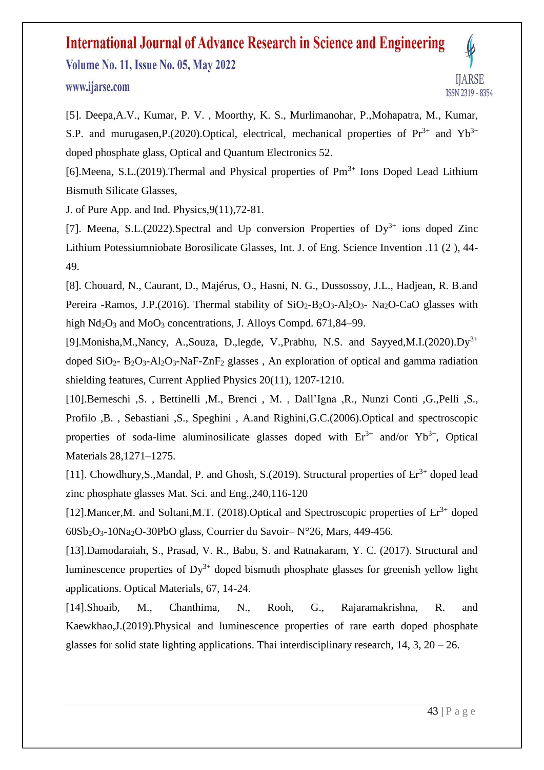**Volume No. 11, Issue No. 05, May 2022** 

#### www.ijarse.com



[5]. Deepa,A.V., Kumar, P. V. , Moorthy, K. S., Murlimanohar, P.,Mohapatra, M., Kumar, S.P. and murugasen, P.(2020). Optical, electrical, mechanical properties of  $Pr^{3+}$  and  $Yb^{3+}$ doped phosphate glass, Optical and Quantum Electronics 52.

[6]. Meena, S.L. (2019). Thermal and Physical properties of  $Pm<sup>3+</sup>$  Ions Doped Lead Lithium Bismuth Silicate Glasses,

J. of Pure App. and Ind. Physics,9(11),72-81.

[7]. Meena, S.L.(2022). Spectral and Up conversion Properties of  $Dy^{3+}$  ions doped Zinc Lithium Potessiumniobate Borosilicate Glasses, Int. J. of Eng. Science Invention .11 (2 ), 44- 49.

[8]. Chouard, N., Caurant, D., Majérus, O., Hasni, N. G., Dussossoy, J.L., Hadjean, R. B.and Pereira -Ramos, J.P.(2016). Thermal stability of  $SiO<sub>2</sub>-B<sub>2</sub>O<sub>3</sub>-Al<sub>2</sub>O<sub>3</sub>$ - Na<sub>2</sub>O-CaO glasses with high  $Nd_2O_3$  and  $MoO_3$  concentrations, J. Alloys Compd. 671,84–99.

[9].Monisha,M.,Nancy, A.,Souza, D.,legde, V.,Prabhu, N.S. and Sayyed,M.I.(2020).Dy<sup>3+</sup> doped  $SiO_2$ -  $B_2O_3$ -Al<sub>2</sub>O<sub>3</sub>-NaF-ZnF<sub>2</sub> glasses, An exploration of optical and gamma radiation shielding features, Current Applied Physics 20(11), 1207-1210.

[10].Berneschi ,S. , Bettinelli ,M., Brenci , M. , Dall'Igna ,R., Nunzi Conti ,G.,Pelli ,S., Profilo ,B. , Sebastiani ,S., Speghini , A.and Righini,G.C.(2006).Optical and spectroscopic properties of soda-lime aluminosilicate glasses doped with  $Er^{3+}$  and/or  $Yb^{3+}$ , Optical Materials 28,1271–1275.

[11]. Chowdhury, S., Mandal, P. and Ghosh, S. (2019). Structural properties of  $Er^{3+}$  doped lead zinc phosphate glasses Mat. Sci. and Eng.,240,116-120

[12].Mancer, M. and Soltani, M.T. (2018). Optical and Spectroscopic properties of  $Er<sup>3+</sup>$  doped 60Sb2O3-10Na2O-30PbO glass, Courrier du Savoir– N°26, Mars, 449-456.

[13].Damodaraiah, S., Prasad, V. R., Babu, S. and Ratnakaram, Y. C. (2017). Structural and luminescence properties of  $Dy^{3+}$  doped bismuth phosphate glasses for greenish yellow light applications. Optical Materials, 67, 14-24.

[14].Shoaib, M., Chanthima, N., Rooh, G., Rajaramakrishna, R. and Kaewkhao,J.(2019).Physical and luminescence properties of rare earth doped phosphate glasses for solid state lighting applications. Thai interdisciplinary research,  $14$ ,  $3$ ,  $20 - 26$ .